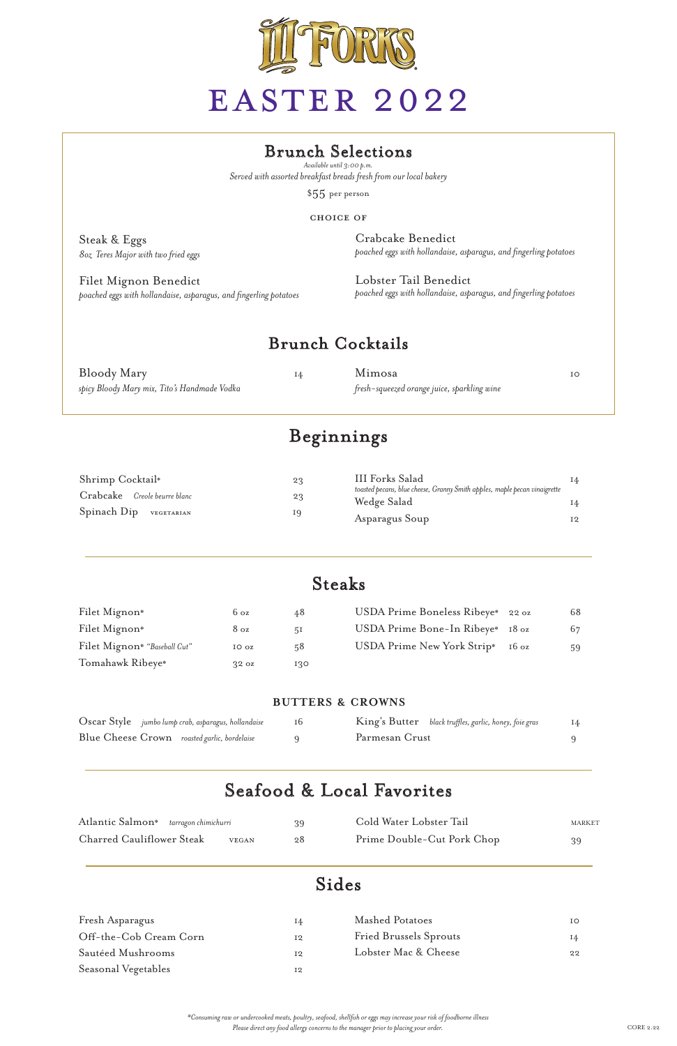

# EASTER 2022

# Beginnings

# Steaks

| Filet Mignon*                | $6\,\text{oz}$   | 48  | USDA Prime Boneless Ribeye* 22 oz |                 | 68 |
|------------------------------|------------------|-----|-----------------------------------|-----------------|----|
| Filet Mignon*                | $8\,\mathrm{oz}$ | 5I  | USDA Prime Bone-In Ribeye* 18 oz  |                 | 67 |
| Filet Mignon* "Baseball Cut" | IO oz            | 58  | USDA Prime New York Strip*        | $16 \text{ oz}$ | 59 |
| Tomahawk Ribeye*             | $32 \text{ oz}$  | 130 |                                   |                 |    |

| Oscar Style jumbo lump crab, asparagus, hollandaise | King's Butter black truffles, garlic, honey, foie gras | I4 |
|-----------------------------------------------------|--------------------------------------------------------|----|
| Blue Cheese Crown roasted garlic, bordelaise        | Parmesan Crust                                         |    |

### Seafood & Local Favorites

*\*Consuming raw or undercooked meats, poultry, seafood, shellfish or eggs may increase your risk of foodborne illness Please direct any food allergy concerns to the manager prior to placing your order.* CORE 2.22

## Sides

#### **butters & crowns**

| Atlantic Salmon* tarragon chimichurri |              | 39 | Cold Water Lobster Tail    | <b>MARKET</b> |
|---------------------------------------|--------------|----|----------------------------|---------------|
| <b>Charred Cauliflower Steak</b>      | <b>VEGAN</b> | 28 | Prime Double-Cut Pork Chop | 39            |

| Shrimp Cocktail*             | 23 | III Forks Salad                                                                          | 14              |
|------------------------------|----|------------------------------------------------------------------------------------------|-----------------|
| Crabcake Creole beurre blanc | 23 | toasted pecans, blue cheese, Granny Smith apples, maple pecan vinaigrette<br>Wedge Salad | Ι4              |
| Spinach Dip VEGETARIAN       | 19 | Asparagus Soup                                                                           | 12 <sup>°</sup> |

| Fresh Asparagus        | 14             | <b>Mashed Potatoes</b>        | IΟ |
|------------------------|----------------|-------------------------------|----|
| Off-the-Cob Cream Corn | 12             | <b>Fried Brussels Sprouts</b> | 14 |
| Sautéed Mushrooms      | 12             | Lobster Mac & Cheese          | 22 |
| Seasonal Vegetables    | I <sub>2</sub> |                               |    |

### Brunch Selections

### Brunch Cocktails

\$55 per person

*Available until 3:00 p.m. Served with assorted breakfast breads fresh from our local bakery*

> Crabcake Benedict *poached eggs with hollandaise, asparagus, and fingerling potatoes*

| Bloody Mary                                  | Mimosa                                      |  |
|----------------------------------------------|---------------------------------------------|--|
| spicy Bloody Mary mix, Tito's Handmade Vodka | fresh–squeezed orange juice, sparkling wine |  |

Lobster Tail Benedict *poached eggs with hollandaise, asparagus, and fingerling potatoes*

Steak & Eggs *8oz Teres Major with two fried eggs*

Filet Mignon Benedict *poached eggs with hollandaise, asparagus, and fingerling potatoes*

#### choice of